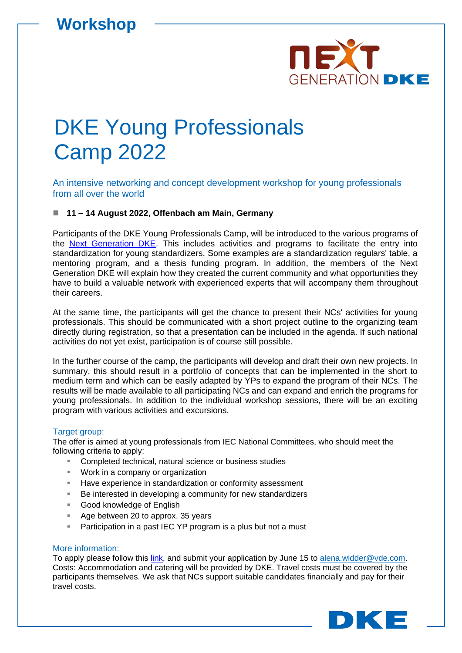

# DKE Young Professionals Camp 2022

An intensive networking and concept development workshop for young professionals from all over the world

### ◼ **11 – 14 August 2022, Offenbach am Main, Germany**

Participants of the DKE Young Professionals Camp, will be introduced to the various programs of the [Next Generation DKE.](https://www.dke.de/en/services/next-generation-dke) This includes activities and programs to facilitate the entry into standardization for young standardizers. Some examples are a standardization regulars' table, a mentoring program, and a thesis funding program. In addition, the members of the Next Generation DKE will explain how they created the current community and what opportunities they have to build a valuable network with experienced experts that will accompany them throughout their careers.

At the same time, the participants will get the chance to present their NCs' activities for young professionals. This should be communicated with a short project outline to the organizing team directly during registration, so that a presentation can be included in the agenda. If such national activities do not yet exist, participation is of course still possible.

In the further course of the camp, the participants will develop and draft their own new projects. In summary, this should result in a portfolio of concepts that can be implemented in the short to medium term and which can be easily adapted by YPs to expand the program of their NCs. The results will be made available to all participating NCs and can expand and enrich the programs for young professionals. In addition to the individual workshop sessions, there will be an exciting program with various activities and excursions.

#### Target group:

The offer is aimed at young professionals from IEC National Committees, who should meet the following criteria to apply:

- Completed technical, natural science or business studies
- Work in a company or organization
- Have experience in standardization or conformity assessment
- Be interested in developing a community for new standardizers
- Good knowledge of English
- Age between 20 to approx. 35 years
- Participation in a past IEC YP program is a plus but not a must

#### More information:

To apply please follow this [link,](https://www.dke.de/en/veranstaltungs-detailseite?id=21212&type=vde%7Cvdb) and submit your application by June 15 to [alena.widder@vde.com.](mailto:alena.widder@vde.com?subject=Registration%20–%20DKE%20Young%20Professionals%20Camp%202022) Costs: Accommodation and catering will be provided by DKE. Travel costs must be covered by the participants themselves. We ask that NCs support suitable candidates financially and pay for their travel costs.